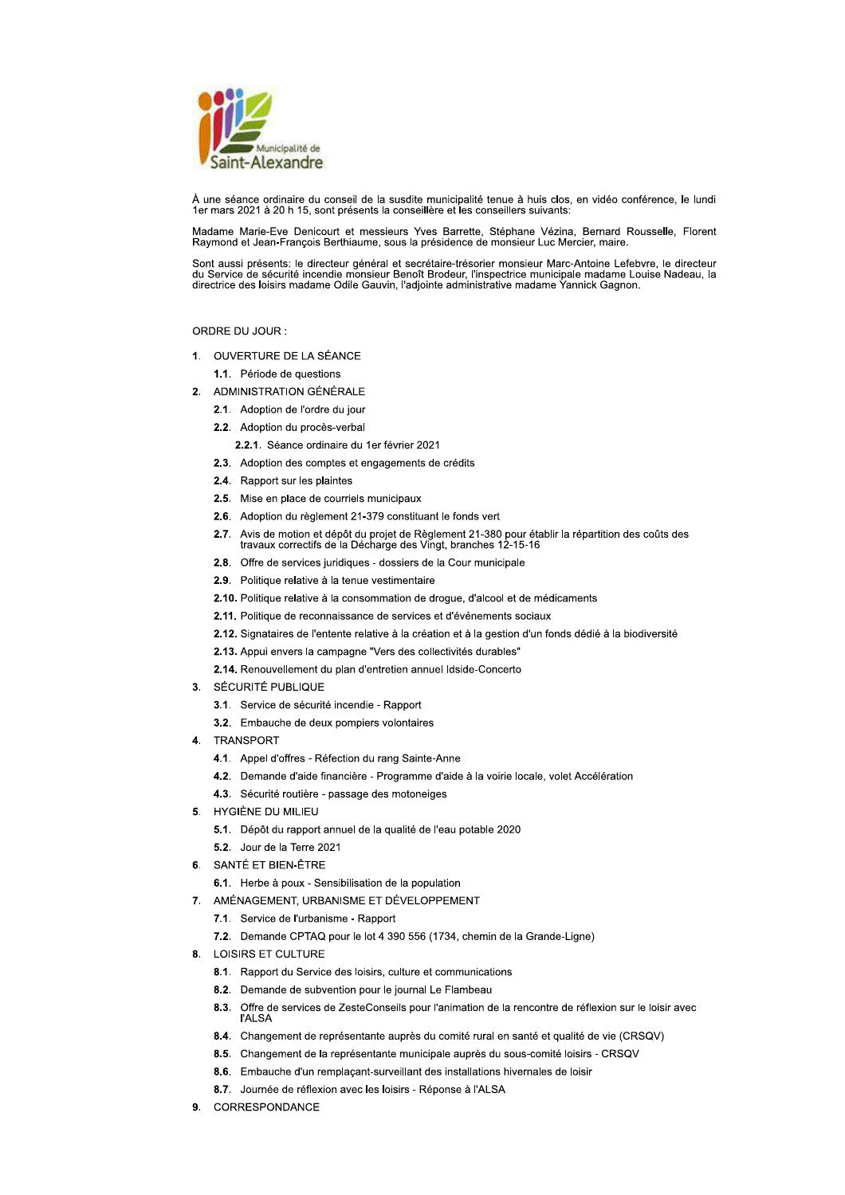

À une séance ordinaire du conseil de la susdite municipalité tenue à huis clos, en vidéo conférence, le lundi 1er mars 2021 à 20 h 15, sont présents la conseillère et les conseillers suivants

Madame Marie-Eve Denicourt et messieurs Yves Barrette, Stéphane Vézina, Bernard Rousselle, Florent Raymond et Jean-François Berthiaume, sous la présidence de monsieur Luc Mercier, maire

Sont aussi présents: le directeur général et secrétaire-trésorier monsieur Marc-Antoine Lefebvre, le directeur du Service de sécurité incendie monsieur Benoît Brodeur, l'inspectrice municipale madame Louise Nadeau, la<br>directrice des loisirs madame Odile Gauvin, l'adjointe administrative madame Yannick Gagnon.

# ORDRE DU JOUR :

1. OUVERTURE DE LA SÉANCE

1.1. Période de questions

- 2. ADMINISTRATION GÉNÉRALE
	- 2.1. Adoption de l'ordre du jour
	- 2.2. Adoption du procès-verbal
	- 2.2.1. Séance ordinaire du 1er février 2021
	- 2.3. Adoption des comptes et engagements de crédits
	- 2.4. Rapport sur les plaintes
	- 2.5. Mise en place de courriels municipaux
	- 2.6. Adoption du règlement 21-379 constituant le fonds vert
	- 2.7. Avis de motion et dépôt du projet de Règlement 21-380 pour établir la répartition des coûts des travaux correctifs de la Décharge des Vingt, branches 12-15-16
	- 2.8. Offre de services juridiques dossiers de la Cour municipale
	- 2.9. Politique relative à la tenue vestimentaire
	- 2.10. Politique relative à la consommation de drogue, d'alcool et de médicaments
	- 2.11. Politique de reconnaissance de services et d'événements sociaux
	- 2.12. Signataires de l'entente relative à la création et à la gestion d'un fonds dédié à la biodiversité
	- 2.13. Appui envers la campagne "Vers des collectivités durables"
	- 2.14. Renouvellement du plan d'entretien annuel Idside-Concerto
- 3. SÉCURITÉ PUBLIQUE
	- 3.1. Service de sécurité incendie Rapport
	- 3.2. Embauche de deux pompiers volontaires
- 4. TRANSPORT
	- 4.1. Appel d'offres Réfection du rang Sainte-Anne
	- 4.2. Demande d'aide financière Programme d'aide à la voirie locale, volet Accélération
	- 4.3. Sécurité routière passage des motoneiges
- 5. HYGIÈNE DU MILIEU
	- 5.1. Dépôt du rapport annuel de la qualité de l'eau potable 2020
	- 5.2. Jour de la Terre 2021
- 6. SANTÉ ET BIEN-ÊTRE
	- 6.1. Herbe à poux Sensibilisation de la population
- 7. AMÉNAGEMENT, URBANISME ET DÉVELOPPEMENT
	- 7.1. Service de l'urbanisme Rapport
	- 7.2. Demande CPTAQ pour le lot 4 390 556 (1734, chemin de la Grande-Ligne)
- 8. LOISIRS ET CULTURE
	- 8.1. Rapport du Service des loisirs, culture et communications
	- 8.2. Demande de subvention pour le journal Le Flambeau
	- 8.3. Offre de services de ZesteConseils pour l'animation de la rencontre de réflexion sur le loisir avec **I'ALSA**
	- 8.4. Changement de représentante auprès du comité rural en santé et qualité de vie (CRSQV)
	- 8.5. Changement de la représentante municipale auprès du sous-comité loisirs CRSQV
	- 8.6. Embauche d'un remplaçant-surveillant des installations hivernales de loisir
	- 8.7. Journée de réflexion avec les loisirs Réponse à l'ALSA
- 9. CORRESPONDANCE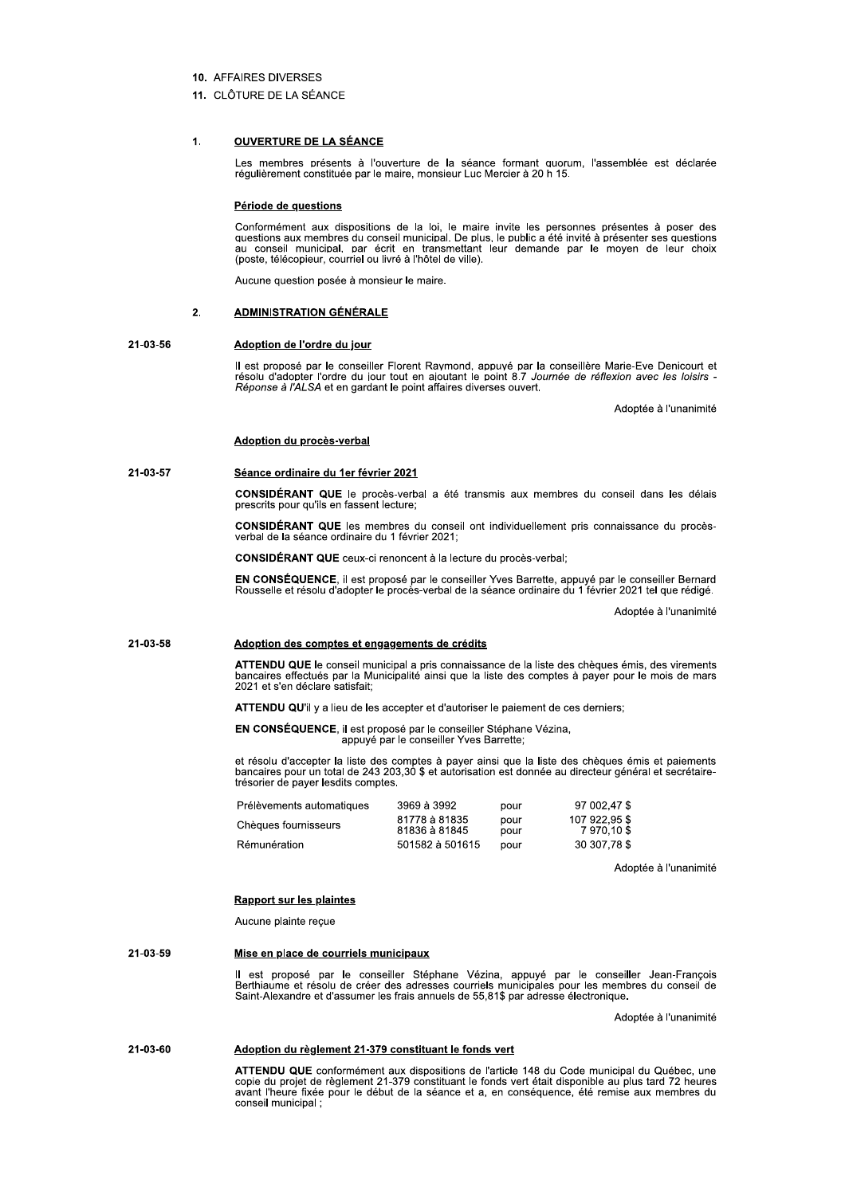## 10 AFFAIRES DIVERSES

## 11. CLÔTURE DE LA SÉANCE

#### $\mathbf{1}$ **OUVERTURE DE LA SÉANCE**

Les membres présents à l'ouverture de la séance formant quorum, l'assemblée est déclarée régulièrement constituée par le maire, monsieur Luc Mercier à 20 h 15.

## Période de questions

Conformément aux dispositions de la loi, le maire invite les personnes présentes à poser des duestions aux membres du conseil municipal. De plus, le public a été invité à présenter ses questions<br>au conseil municipal, par écrit en transmettant leur demande par le moyen de leur choix<br>(poste, télécopieur, courriel ou

Aucune question posée à monsieur le maire.

#### $\overline{2}$ **ADMINISTRATION GÉNÉRALE**

### 21-03-56 Adoption de l'ordre du jour

Il est proposé par le conseiller Florent Raymond, appuyé par la conseillère Marie-Eve Denicourt et résolu d'adopter l'ordre du jour tout en ajoutant le point 8.7 Journée de réflexion avec les loisirs -<br>Réponse à l'ALSA et en gardant le point affaires diverses ouvert.

Adoptée à l'unanimité

# Adoption du procès-verbal

#### 21-03-57 Séance ordinaire du 1er février 2021

CONSIDÉRANT QUE le procès-verbal a été transmis aux membres du conseil dans les délais prescrits pour qu'ils en fassent lecture;

**CONSIDÉRANT QUE** les membres du conseil ont individuellement pris connaissance du procèsverbal de la séance ordinaire du 1 février 2021;

CONSIDÉRANT QUE ceux-ci renoncent à la lecture du procès-verbal;

EN CONSÉQUENCE, il est proposé par le conseiller Yves Barrette, appuyé par le conseiller Bernard<br>Rousselle et résolu d'adopter le procès-verbal de la séance ordinaire du 1 février 2021 tel que rédigé.

Adoptée à l'unanimité

### 21-03-58 Adoption des comptes et engagements de crédits

ATTENDU QUE le conseil municipal a pris connaissance de la liste des chèques émis, des virements bancaires effectués par la Municipalité ainsi que la liste des comptes à payer pour le mois de mars 2021 et s'en déclare satisfait:

ATTENDU QU'il y a lieu de les accepter et d'autoriser le paiement de ces derniers;

## EN CONSÉQUENCE, il est proposé par le conseiller Stéphane Vézina, appuyé par le conseiller Yves Barrette;

et résolu d'accepter la liste des comptes à payer ainsi que la liste des chèques émis et paiements bancaires pour un total de 243 203,30 \$ et autorisation est donnée au directeur général et secrétairetrésorier de payer lesdits comptes.

| Prélèvements automatiques | 3969 à 3992                    | pour         | 97 002.47 \$                 |
|---------------------------|--------------------------------|--------------|------------------------------|
| Chèques fournisseurs      | 81778 à 81835<br>81836 à 81845 | pour<br>pour | 107 922,95 \$<br>7 970,10 \$ |
| Rémunération              | 501582 à 501615                | pour         | 30 307.78 \$                 |

Adoptée à l'unanimité

## **Rapport sur les plaintes**

Aucune plainte recue

## 21-03-59 Mise en place de courriels municipaux

Il est proposé par le conseiller Stéphane Vézina, appuyé par le conseiller Jean-François<br>Berthiaume et résolu de créer des adresses courriels municipales pour les membres du conseil de Saint-Alexandre et d'assumer les frais annuels de 55,81\$ par adresse électronique.

Adoptée à l'unanimité

## 21-03-60 Adoption du règlement 21-379 constituant le fonds vert

ATTENDU QUE conformément aux dispositions de l'article 148 du Code municipal du Québec, une copie du projet de règlement 21-379 constituant le fonds vert était disponible au plus tard 72 heures avant l'heure fixée pour le conseil municipal;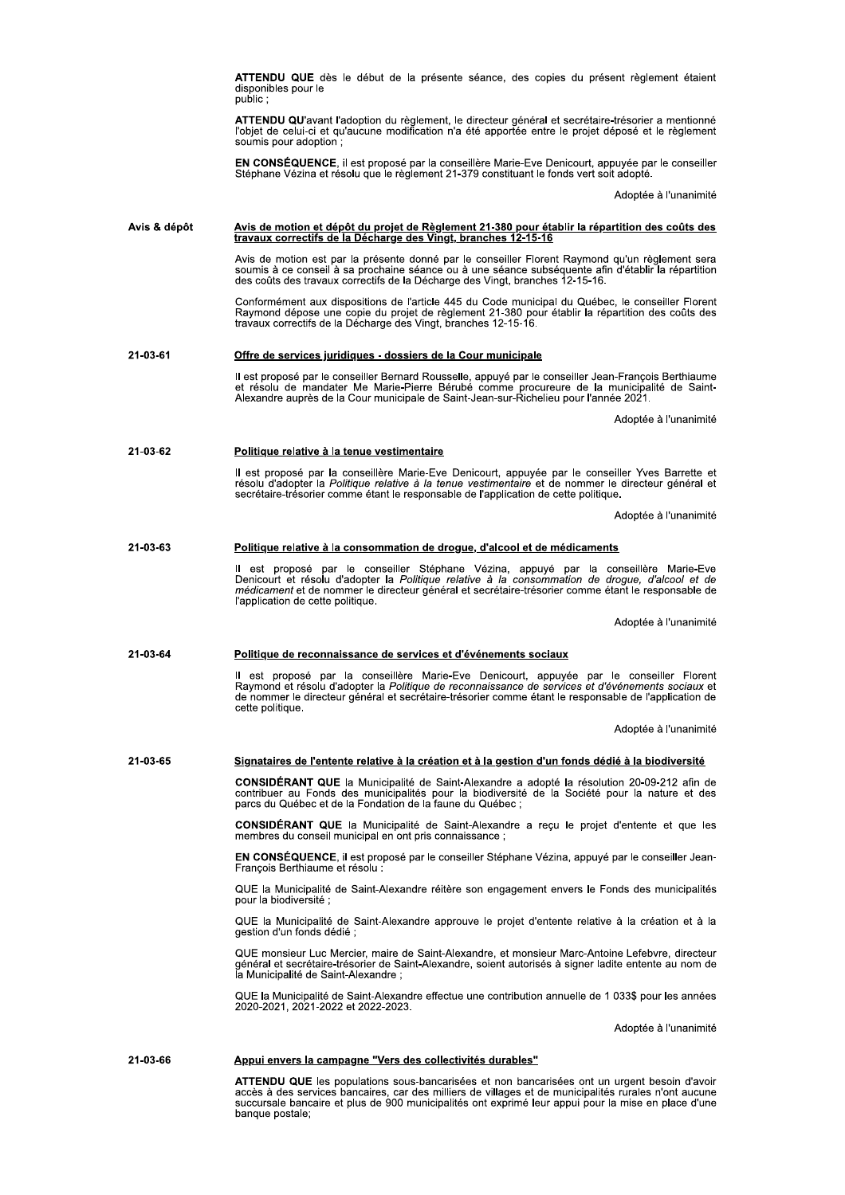|              | <b>ATTENDU QUE</b> dès le début de la présente séance, des copies du présent règlement étaient<br>disponibles pour le<br>public ;                                                                                                                                                                                                          |
|--------------|--------------------------------------------------------------------------------------------------------------------------------------------------------------------------------------------------------------------------------------------------------------------------------------------------------------------------------------------|
|              | <b>ATTENDU QU'avant l'adoption du règlement, le directeur général et secrétaire-trésorier a mentionné</b><br>l'objet de celui-ci et qu'aucune modification n'a été apportée entre le projet déposé et le règlement<br>soumis pour adoption;                                                                                                |
|              | <b>EN CONSEQUENCE</b> , il est proposé par la conseillère Marie-Eve Denicourt, appuyée par le conseiller<br>Stéphane Vézina et résolu que le règlement 21-379 constituant le fonds vert soit adopté.                                                                                                                                       |
|              | Adoptée à l'unanimité                                                                                                                                                                                                                                                                                                                      |
| Avis & dépôt | Avis de motion et dépôt du projet de Règlement 21-380 pour établir la répartition des coûts des                                                                                                                                                                                                                                            |
|              | travaux correctifs de la Décharge des Vingt, branches 12-15-16<br>Avis de motion est par la présente donné par le conseiller Florent Raymond qu'un règlement sera                                                                                                                                                                          |
|              | soumis à ce conseil à sa prochaine séance ou à une séance subséquente afin d'établir la répartition<br>des coûts des travaux correctifs de la Décharge des Vingt, branches 12-15-16.                                                                                                                                                       |
|              | Conformément aux dispositions de l'article 445 du Code municipal du Québec, le conseiller Florent<br>Raymond dépose une copie du projet de règlement 21-380 pour établir la répartition des coûts des<br>travaux correctifs de la Décharge des Vingt, branches 12-15-16.                                                                   |
| 21-03-61     | Offre de services juridiques - dossiers de la Cour municipale                                                                                                                                                                                                                                                                              |
|              | Il est proposé par le conseiller Bernard Rousselle, appuyé par le conseiller Jean-François Berthiaume<br>et résolu de mandater Me Marie-Pierre Bérubé comme procureure de la municipalité de Saint-<br>Alexandre auprès de la Cour municipale de Saint-Jean-sur-Richelieu pour l'année 2021.                                               |
|              | Adoptée à l'unanimité                                                                                                                                                                                                                                                                                                                      |
| 21-03-62     | Politique relative à la tenue vestimentaire                                                                                                                                                                                                                                                                                                |
|              | Il est proposé par la conseillère Marie-Eve Denicourt, appuyée par le conseiller Yves Barrette et<br>résolu d'adopter la Politique relative à la tenue vestimentaire et de nommer le directeur général et<br>secrétaire-trésorier comme étant le responsable de l'application de cette politique.                                          |
|              | Adoptée à l'unanimité                                                                                                                                                                                                                                                                                                                      |
| 21-03-63     | Politique relative à la consommation de drogue, d'alcool et de médicaments                                                                                                                                                                                                                                                                 |
|              | Il est proposé par le conseiller Stéphane Vézina, appuyé par la conseillère Marie-Eve<br>Denicourt et résolu d'adopter la Politique relative à la consommation de drogue, d'alcool et de<br><i>médicament</i> et de nommer le directeur général et secrétaire-trésorier comme étant le responsable de<br>l'application de cette politique. |
|              | Adoptée à l'unanimité                                                                                                                                                                                                                                                                                                                      |
| 21-03-64     | Politique de reconnaissance de services et d'événements sociaux                                                                                                                                                                                                                                                                            |
|              | Il est proposé par la conseillère Marie-Eve Denicourt, appuyée par le conseiller Florent<br>Raymond et résolu d'adopter la Politique de reconnaissance de services et d'événements sociaux et<br>de nommer le directeur général et secrétaire-trésorier comme étant le responsable de l'application de<br>cette politique.                 |
|              | Adoptée à l'unanimité                                                                                                                                                                                                                                                                                                                      |
| 21-03-65     | Signataires de l'entente relative à la création et à la gestion d'un fonds dédié à la biodiversité                                                                                                                                                                                                                                         |
|              | <b>CONSIDERANT QUE</b> la Municipalité de Saint-Alexandre a adopté la résolution 20-09-212 afin de<br>contribuer au Fonds des municipalités pour la biodiversité de la Société pour la nature et des<br>parcs du Québec et de la Fondation de la faune du Québec :                                                                         |
|              | <b>CONSIDERANT QUE</b> la Municipalité de Saint-Alexandre a reçu le projet d'entente et que les<br>membres du conseil municipal en ont pris connaissance,                                                                                                                                                                                  |
|              | EN CONSEQUENCE, il est proposé par le conseiller Stéphane Vézina, appuyé par le conseiller Jean-<br>François Berthiaume et résolu :                                                                                                                                                                                                        |
|              | QUE la Municipalité de Saint-Alexandre réitère son engagement envers le Fonds des municipalités<br>pour la biodiversité ;                                                                                                                                                                                                                  |
|              | QUE la Municipalité de Saint-Alexandre approuve le projet d'entente relative à la création et à la<br>gestion d'un fonds dédié ;                                                                                                                                                                                                           |
|              | QUE monsieur Luc Mercier, maire de Saint-Alexandre, et monsieur Marc-Antoine Lefebvre, directeur<br>général et secrétaire-trésorier de Saint-Alexandre, soient autorisés à signer ladite entente au nom de<br>la Municipalité de Saint-Alexandre;                                                                                          |
|              | QUE la Municipalité de Saint-Alexandre effectue une contribution annuelle de 1 033\$ pour les années<br>2020-2021, 2021-2022 et 2022-2023.                                                                                                                                                                                                 |
|              | Adoptée à l'unanimité                                                                                                                                                                                                                                                                                                                      |
| 21-03-66     | Appui envers la campagne "Vers des collectivités durables"                                                                                                                                                                                                                                                                                 |
|              | <b>ATTENDU QUE</b> les populations sous-bancarisées et non bancarisées ont un urgent besoin d'avoir<br>accès à des services bancaires, car des milliers de villages et de municipalités rurales n'ont aucune<br>succursale bancaire et plus de 900 municipalités ont exprimé leur appui pour la mise en place d'une<br>banque postale;     |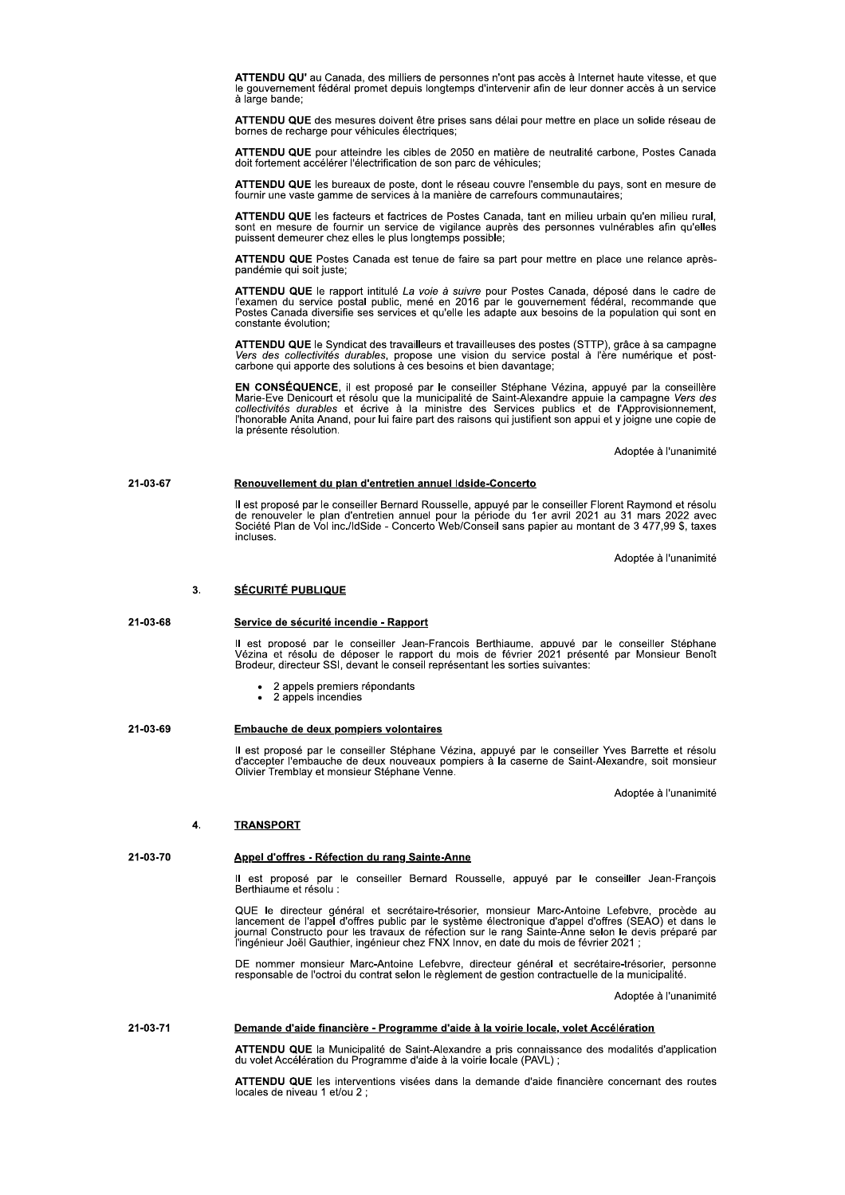ATTENDU QU' au Canada, des milliers de personnes n'ont pas accès à Internet haute vitesse, et que le gouvernement fédéral promet depuis longtemps d'intervenir afin de leur donner accès à un service à large bande;

ATTENDU QUE des mesures doivent être prises sans délai pour mettre en place un solide réseau de bornes de recharge pour véhicules électriques:

ATTENDU QUE pour atteindre les cibles de 2050 en matière de neutralité carbone. Postes Canada doit fortement accélérer l'électrification de son parc de véhicules;

ATTENDU QUE les bureaux de poste, dont le réseau couvre l'ensemble du pays, sont en mesure de fournir une vaste gamme de services à la manière de carrefours communautaires;

ATTENDU QUE les facteurs et factrices de Postes Canada, tant en milieu urbain qu'en milieu rural, sont en mesure de fournir un service de vigilance auprès des personnes vulnérables afin qu'elles puissent demeurer chez elles le plus longtemps possible;

ATTENDU QUE Postes Canada est tenue de faire sa part pour mettre en place une relance aprèspandémie qui soit juste;

ATTENDU QUE le rapport intitulé La voie à suivre pour Postes Canada, déposé dans le cadre de<br>l'examen du service postal public, mené en 2016 par le gouvernement fédéral, recommande que Postes Canada diversifie ses services et qu'elle les adapte aux besoins de la population qui sont en constante évolution

ATTENDU QUE le Syndicat des travailleurs et travailleuses des postes (STTP), grâce à sa campagne<br>Vers des collectivités durables, propose une vision du service postal à l'ère numérique et postcarbone qui apporte des solutions à ces besoins et bien davantage;

EN CONSÉQUENCE, il est proposé par le conseiller Stéphane Vézina, appuyé par la conseillère<br>Marie-Eve Denicourt et résolu que la municipalité de Saint-Alexandre appuie la campagne Vers des<br>collectivités durables et écrive la présente résolution.

Adoptée à l'unanimité

#### 21-03-67 Renouvellement du plan d'entretien annuel Idside-Concerto

Il est proposé par le conseiller Bernard Rousselle, appuyé par le conseiller Florent Raymond et résolu de renouveler le plan d'entretien annuel pour la période du 1er avril 2021 au 31 mars 2022 avec<br>Société Plan de Vol inc incluses.

Adoptée à l'unanimité

#### $\overline{3}$ . **SÉCURITÉ PUBLIQUE**

### 21-03-68 Service de sécurité incendie - Rapport

Il est proposé par le conseiller Jean-François Berthiaume, appuyé par le conseiller Stéphane<br>Vézina et résolu de déposer le rapport du mois de février 2021 présenté par Monsieur Benoît<br>Brodeur, directeur SSI, devant le con

- 2 appels premiers répondants<br>2 appels incendies
- 

## 21-03-69 Embauche de deux pompiers volontaires

Il est proposé par le conseiller Stéphane Vézina, appuyé par le conseiller Yves Barrette et résolu<br>d'accepter l'embauche de deux nouveaux pompiers à la caserne de Saint-Alexandre, soit monsieur Olivier Tremblay et monsieur Stéphane Venne.

Adoptée à l'unanimité

#### $\overline{\mathbf{A}}$ **TRANSPORT**

21-03-70

# Appel d'offres - Réfection du rang Sainte-Anne

Il est proposé par le conseiller Bernard Rousselle, appuyé par le conseiller Jean-François<br>Berthiaume et résolu :

QUE le directeur général et secrétaire-trésorier, monsieur Marc-Antoine Lefebvre, procède au lancement de l'appel d'offres public par le système électronique d'appel d'offres (SEAO) et dans le journal Constructo pour les t İ'ingénieur Joël Gauthier, ingénieur chez FNX Innov, en date du mois de février 2021 ;

DE nommer monsieur Marc-Antoine Lefebvre, directeur général et secrétaire-trésorier, personne responsable de l'octroi du contrat selon le règlement de gestion contractuelle de la municipalité.

Adoptée à l'unanimité

#### 21-03-71 Demande d'aide financière - Programme d'aide à la voirie locale, volet Accélération

ATTENDU QUE la Municipalité de Saint-Alexandre a pris connaissance des modalités d'application<br>du volet Accélération du Programme d'aide à la voirie locale (PAVL) ;

ATTENDU QUE les interventions visées dans la demande d'aide financière concernant des routes locales de niveau 1 et/ou 2;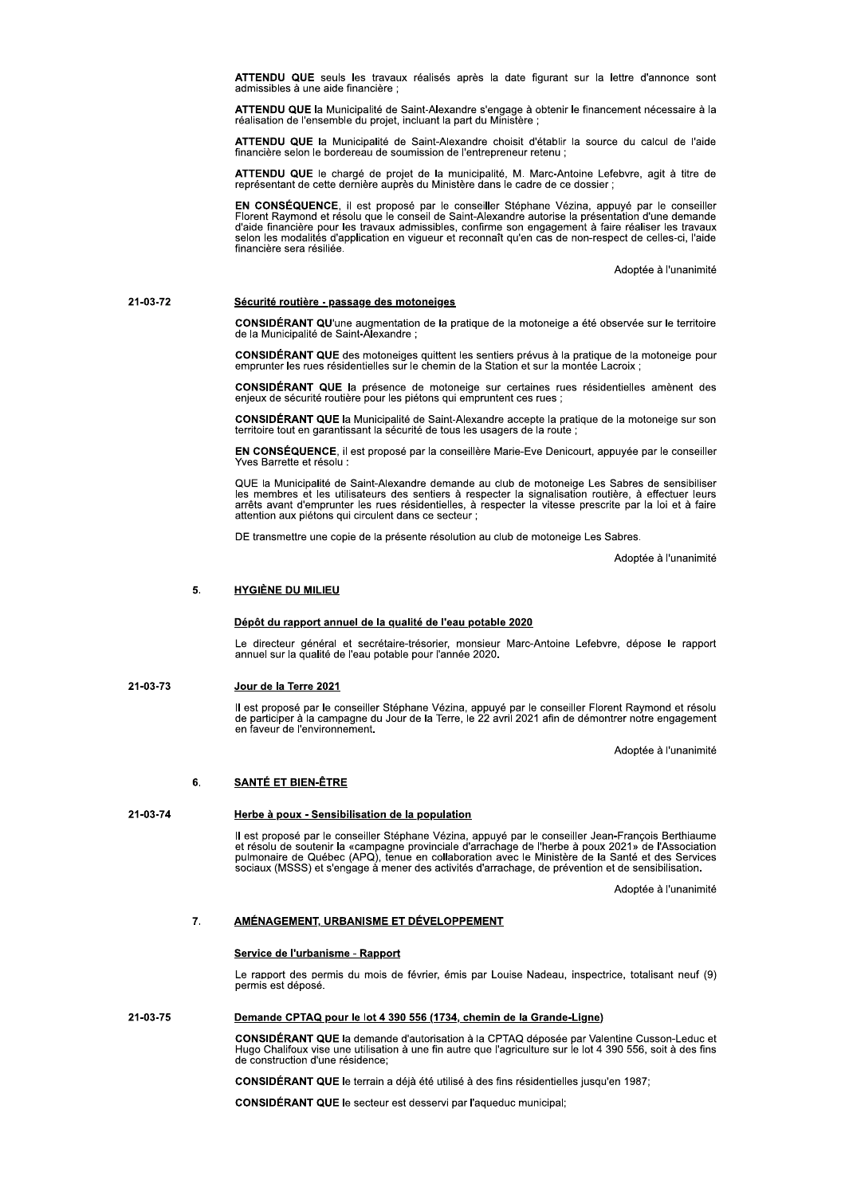ATTENDU QUE seuls les travaux réalisés après la date figurant sur la lettre d'annonce sont admissibles à une aide financière ;

ATTENDU QUE la Municipalité de Saint-Alexandre s'engage à obtenir le financement nécessaire à la<br>réalisation de l'ensemble du proiet, incluant la part du Ministère :

ATTENDU QUE la Municipalité de Saint-Alexandre choisit d'établir la source du calcul de l'aide financière selon le bordereau de soumission de l'entrepreneur retenu :

ATTENDU QUE le chargé de projet de la municipalité, M. Marc-Antoine Lefebvre, agit à titre de représentant de cette dernière auprès du Ministère dans le cadre de ce dossier ;

EN CONSÉQUENCE, il est proposé par le conseiller Stéphane Vézina, appuyé par le conseiller Florent Raymond et résolu que le conseil de Saint-Alexandre autorise la présentation d'une demande d'aide financière pour les trava selon les modalités d'application en vigueur et reconnaît qu'en cas de non-respect de celles-ci, l'aide financière sera résiliée.

Adoptée à l'unanimité

21-03-72

# Sécurité routière - passage des motoneiges

CONSIDÉRANT QU'une augmentation de la pratique de la motoneige a été observée sur le territoire de la Municipalité de Saint-Alexandre

**CONSIDÉRANT QUE** des motoneiges quittent les sentiers prévus à la pratique de la motoneige pour emprunter les rues résidentielles sur le chemin de la Station et sur la montée Lacroix ;

CONSIDÉRANT QUE la présence de motoneige sur certaines rues résidentielles amènent des enjeux de sécurité routière pour les piétons qui empruntent ces rues ;

CONSIDÉRANT QUE la Municipalité de Saint-Alexandre accepte la pratique de la motoneige sur son territoire tout en garantissant la sécurité de tous les usagers de la route ;

EN CONSÉQUENCE, il est proposé par la conseillère Marie-Eve Denicourt, appuyée par le conseiller Yves Barrette et résolu :

QUE la Municipalité de Saint-Alexandre demande au club de motoneige Les Sabres de sensibiliser<br>les membres et les utilisateurs des sentiers à respecter la signalisation routière, à effectuer leurs arrêts avant d'emprunter les rues résidentielles, à respecter la vitesse prescrite par la loi et à faire attention aux piétons qui circulent dans ce secteur ;

DE transmettre une copie de la présente résolution au club de motoneige Les Sabres.

Adoptée à l'unanimité

#### $5.$ **HYGIÈNE DU MILIEU**

## Dépôt du rapport annuel de la qualité de l'eau potable 2020

Le directeur général et secrétaire-trésorier, monsieur Marc-Antoine Lefebvre, dépose le rapport annuel sur la qualité de l'eau potable pour l'année 2020.

#### 21-03-73 Jour de la Terre 2021

Il est proposé par le conseiller Stéphane Vézina, appuyé par le conseiller Florent Raymond et résolu<br>de participer à la campagne du Jour de la Terre, le 22 avril 2021 afin de démontrer notre engagement<br>en faveur de l'envir

Adoptée à l'unanimité

### 6. **SANTÉ ET BIEN-ÊTRE**

## 21-03-74 Herbe à poux - Sensibilisation de la population

Il est proposé par le conseiller Stéphane Vézina, appuyé par le conseiller Jean-François Berthiaume<br>et résolu de soutenir la «campagne provinciale d'arrachage de l'herbe à poux 2021» de l'Association<br>pulmonaire de Québec ( sociaux (MSSS) et s'engage à mener des activités d'arrachage, de prévention et de sensibilisation.

Adoptée à l'unanimité

#### 7. AMÉNAGEMENT, URBANISME ET DÉVELOPPEMENT

# Service de l'urbanisme - Rapport

Le rapport des permis du mois de février, émis par Louise Nadeau, inspectrice, totalisant neuf (9) permis est déposé.

## 21-03-75 Demande CPTAQ pour le lot 4 390 556 (1734, chemin de la Grande-Ligne)

CONSIDÉRANT QUE la demande d'autorisation à la CPTAQ déposée par Valentine Cusson-Leduc et<br>Hugo Chalifoux vise une utilisation à une fin autre que l'agriculture sur le lot 4 390 556, soit à des fins de construction d'une résidence;

CONSIDÉRANT QUE le terrain a déjà été utilisé à des fins résidentielles jusqu'en 1987;

CONSIDÉRANT QUE le secteur est desservi par l'aqueduc municipal;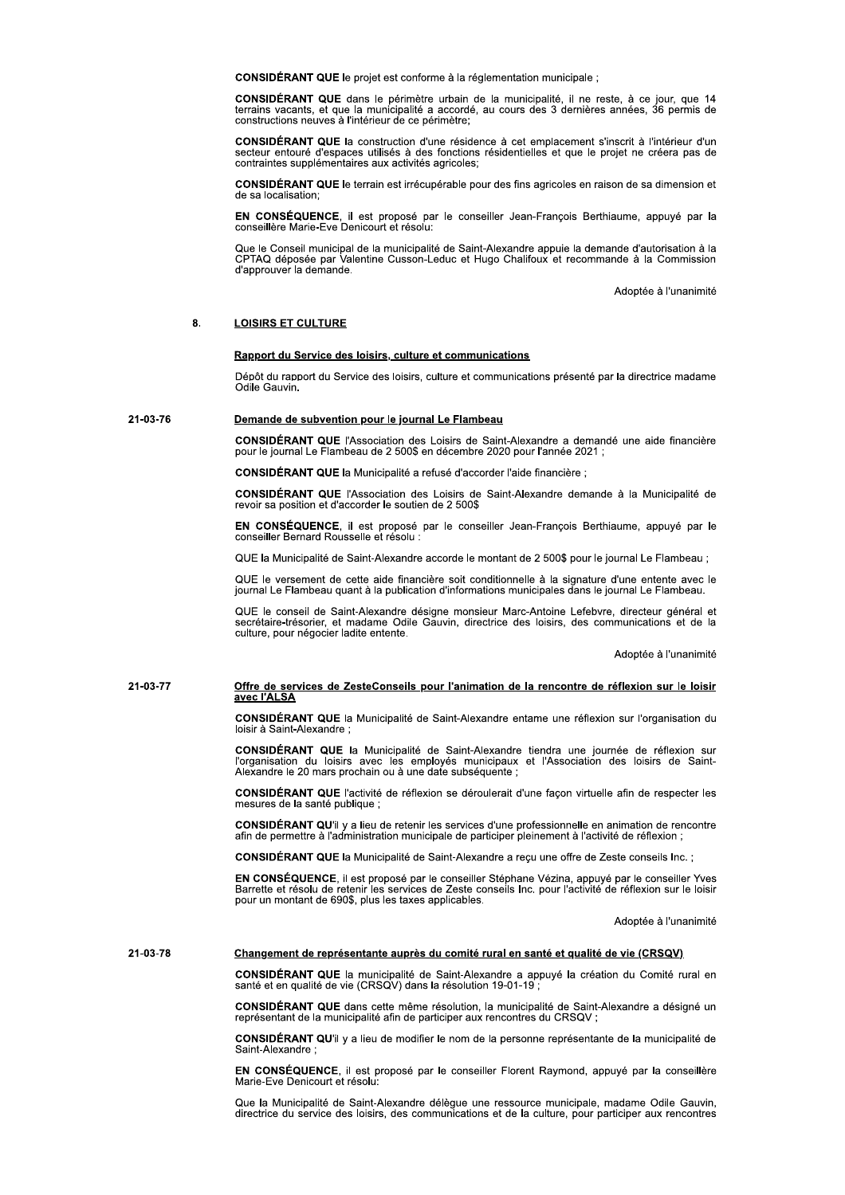CONSIDÉRANT QUE le projet est conforme à la réglementation municipale ;

CONSIDÉRANT QUE dans le périmètre urbain de la municipalité, il ne reste, à ce jour, que 14 terrains vacants, et que la municipalité a accordé, au cours des 3 dernières années, 36 permis de constructions neuves à l'intérie

CONSIDÉRANT QUE la construction d'une résidence à cet emplacement s'inscrit à l'intérieur d'un secteur entouré d'espaces utilisés à des fonctions résidentielles et que le projet ne créera pas de contraintes supplémentaires aux activités agricoles;

CONSIDÉRANT QUE le terrain est irrécupérable pour des fins agricoles en raison de sa dimension et de sa localisation

EN CONSÉQUENCE, il est proposé par le conseiller Jean-François Berthiaume, appuyé par la conseillère Marie-Eve Denicourt et résolu:

Que le Conseil municipal de la municipalité de Saint-Alexandre appuie la demande d'autorisation à la<br>CPTAQ déposée par Valentine Cusson-Leduc et Hugo Chalifoux et recommande à la Commission d'approuver la demande.

Adoptée à l'unanimité

### $\mathbf{a}$ **LOISIRS ET CULTURE**

## Rapport du Service des loisirs, culture et communications

Dépôt du rapport du Service des loisirs, culture et communications présenté par la directrice madame Odile Gauvin.

### 21-03-76 Demande de subvention pour le journal Le Flambeau

CONSIDÉRANT QUE l'Association des Loisirs de Saint-Alexandre a demandé une aide financière pour le journal Le Flambeau de 2 500\$ en décembre 2020 pour l'année 2021 ;

CONSIDÉRANT QUE la Municipalité a refusé d'accorder l'aide financière ;

CONSIDÉRANT QUE l'Association des Loisirs de Saint-Alexandre demande à la Municipalité de revoir sa position et d'accorder le soutien de 2 500\$

EN CONSÉQUENCE, il est proposé par le conseiller Jean-François Berthiaume, appuyé par le conseiller Bernard Rousselle et résolu :

QUE la Municipalité de Saint-Alexandre accorde le montant de 2 500\$ pour le journal Le Flambeau ;

QUE le versement de cette aide financière soit conditionnelle à la signature d'une entente avec le journal Le Flambeau quant à la publication d'informations municipales dans le journal Le Flambeau.

QUE le conseil de Saint-Alexandre désigne monsieur Marc-Antoine Lefebvre, directeur général et secrétaire-trésorier, et madame Odile Gauvin, directrice des loisirs, des communications et de la culture, pour négocier ladite entente.

Adoptée à l'unanimité

# 21-03-77 Offre de services de ZesteConseils pour l'animation de la rencontre de réflexion sur le loisir<br>avec l'ALSA

CONSIDÉRANT QUE la Municipalité de Saint-Alexandre entame une réflexion sur l'organisation du loisir à Saint-Alexandre :

CONSIDÉRANT QUE la Municipalité de Saint-Alexandre tiendra une journée de réflexion sur<br>l'organisation du loisirs avec les employés municipaux et l'Association des loisirs de Saint-Alexandre le 20 mars prochain ou à une date subséquente ;

CONSIDÉRANT QUE l'activité de réflexion se déroulerait d'une façon virtuelle afin de respecter les mesures de la santé publique ;

CONSIDÉRANT QU'il y a lieu de retenir les services d'une professionnelle en animation de rencontre afin de permettre à l'administration municipale de participer pleinement à l'activité de réflexion ;

CONSIDÉRANT QUE la Municipalité de Saint-Alexandre a reçu une offre de Zeste conseils Inc. ;

EN CONSÉQUENCE, il est proposé par le conseiller Stéphane Vézina, appuyé par le conseiller Yves<br>Barrette et résolu de retenir les services de Zeste conseils Inc. pour l'activité de réflexion sur le loisir pour un montant de 690\$, plus les taxes applicables.

Adoptée à l'unanimité

## 21-03-78 Changement de représentante auprès du comité rural en santé et qualité de vie (CRSQV)

CONSIDÉRANT QUE la municipalité de Saint-Alexandre a appuyé la création du Comité rural en santé et en qualité de vie (CRSQV) dans la résolution 19-01-19 ;

CONSIDÉRANT QUE dans cette même résolution, la municipalité de Saint-Alexandre a désigné un représentant de la municipalité afin de participer aux rencontres du CRSOV :

CONSIDÉRANT QU'il y a lieu de modifier le nom de la personne représentante de la municipalité de Saint-Alexandre

EN CONSÉQUENCE, il est proposé par le conseiller Florent Raymond, appuyé par la conseillère Marie-Eve Denicourt et résolu:

Que la Municipalité de Saint-Alexandre délègue une ressource municipale, madame Odile Gauvin, directrice du service des loisirs, des communications et de la culture, pour participer aux rencontres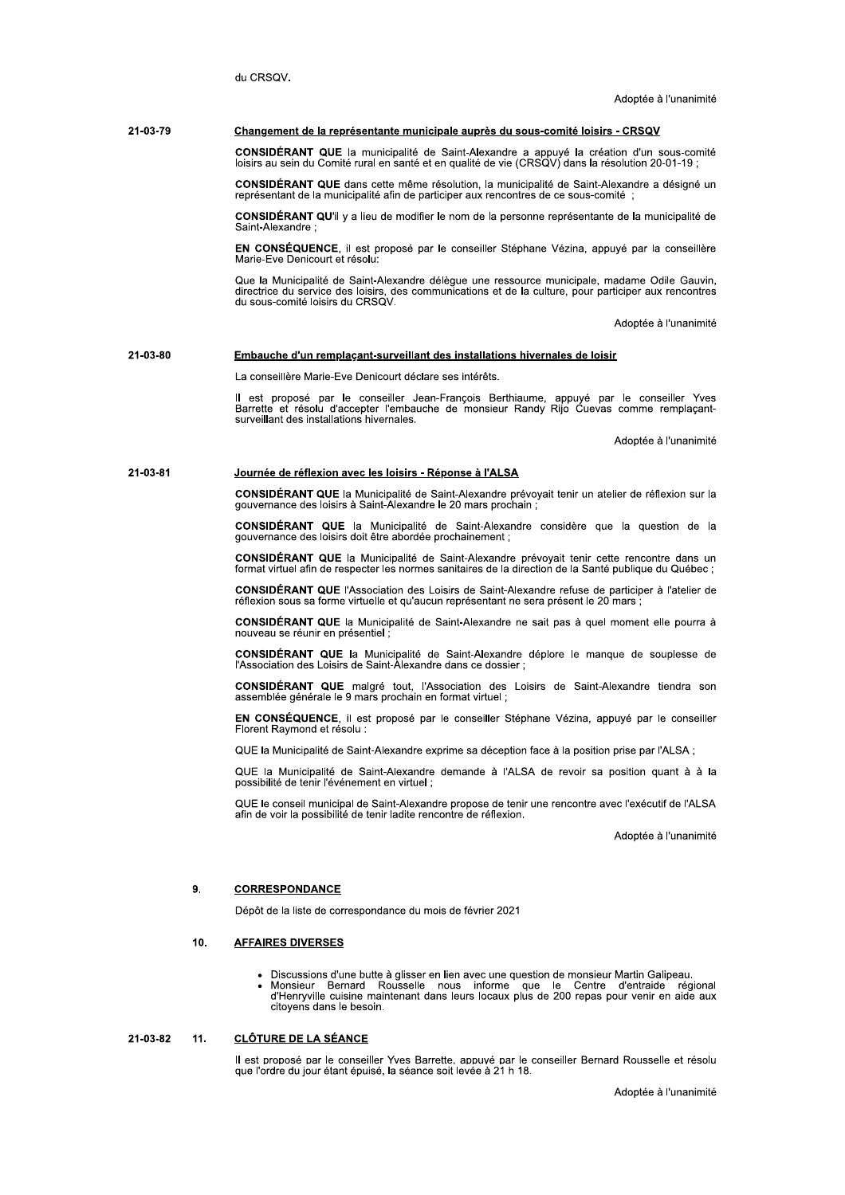du CRSOV

### 21-03-79 Changement de la représentante municipale auprès du sous-comité loisirs - CRSQV

CONSIDÉRANT QUE la municipalité de Saint-Alexandre a appuyé la création d'un sous-comité loisirs au sein du Comité rural en santé et en qualité de vie (CRSQV) dans la résolution 20-01-19 ;

CONSIDÉRANT QUE dans cette même résolution, la municipalité de Saint-Alexandre a désigné un représentant de la municipalité afin de participer aux rencontres de ce sous-comité;

CONSIDÉRANT QU'il y a lieu de modifier le nom de la personne représentante de la municipalité de Saint-Alexandre

EN CONSÉQUENCE, il est proposé par le conseiller Stéphane Vézina, appuyé par la conseillère Marie-Eve Denicourt et résolu:

Que la Municipalité de Saint-Alexandre délègue une ressource municipale, madame Odile Gauvin, directrice du service des loisirs, des communications et de la culture, pour participer aux rencontres du sous-comité loisirs du CRSQV.

Adoptée à l'unanimité

### 21-03-80 Embauche d'un remplacant-surveillant des installations hivernales de loisir

La conseillère Marie-Eve Denicourt déclare ses intérêts.

Il est proposé par le conseiller Jean-François Berthiaume, appuyé par le conseiller Yves<br>Barrette et résolu d'accepter l'embauche de monsieur Randy Rijo Cuevas comme remplaçant-<br>surveillant des installations hivernales.

Adoptée à l'unanimité

#### 21-03-81 Journée de réflexion avec les loisirs - Réponse à l'ALSA

CONSIDÉRANT QUE la Municipalité de Saint-Alexandre prévoyait tenir un atelier de réflexion sur la gouvernance des loisirs à Saint-Alexandre le 20 mars prochain ;

CONSIDÉRANT QUE la Municipalité de Saint-Alexandre considère que la question de la gouvernance des loisirs doit être abordée prochainement;

CONSIDÉRANT QUE la Municipalité de Saint-Alexandre prévoyait tenir cette rencontre dans un format virtuel afin de respecter les normes sanitaires de la direction de la Santé publique du Québec ;

CONSIDÉRANT QUE l'Association des Loisirs de Saint-Alexandre refuse de participer à l'atelier de réflexion sous sa forme virtuelle et qu'aucun représentant ne sera présent le 20 mars ;

CONSIDÉRANT QUE la Municipalité de Saint-Alexandre ne sait pas à quel moment elle pourra à nouveau se réunir en présentiel ;

CONSIDÉRANT QUE la Municipalité de Saint-Alexandre déplore le manque de souplesse de l'Association des Loisirs de Saint-Alexandre dans ce dossier ;

CONSIDÉRANT QUE malgré tout, l'Association des Loisirs de Saint-Alexandre tiendra son assemblée générale le 9 mars prochain en format virtuel ;

EN CONSÉQUENCE, il est proposé par le conseiller Stéphane Vézina, appuyé par le conseiller Florent Raymond et résolu :

QUE la Municipalité de Saint-Alexandre exprime sa déception face à la position prise par l'ALSA ;

QUE la Municipalité de Saint-Alexandre demande à l'ALSA de revoir sa position quant à à la possibilité de tenir l'événement en virtuel :

QUE le conseil municipal de Saint-Alexandre propose de tenir une rencontre avec l'exécutif de l'ALSA afin de voir la possibilité de tenir ladite rencontre de réflexion.

Adoptée à l'unanimité

#### $\mathbf{q}$ **CORRESPONDANCE**

Dépôt de la liste de correspondance du mois de février 2021

#### 10. **AFFAIRES DIVERSES**

- 
- Discussions d'une butte à glisser en lien avec une question de monsieur Martin Galipeau.<br>Monsieur Bernard Rousselle nous informe que le Centre d'entraide régional<br>d'Henryville cuisine maintenant dans leurs locaux plus de 2 citoyens dans le besoin.

#### 21-03-82  $11$ **CLÔTURE DE LA SÉANCE**

Il est proposé par le conseiller Yves Barrette, appuvé par le conseiller Bernard Rousselle et résolu que l'ordre du jour étant épuisé, la séance soit levée à 21 h 18.